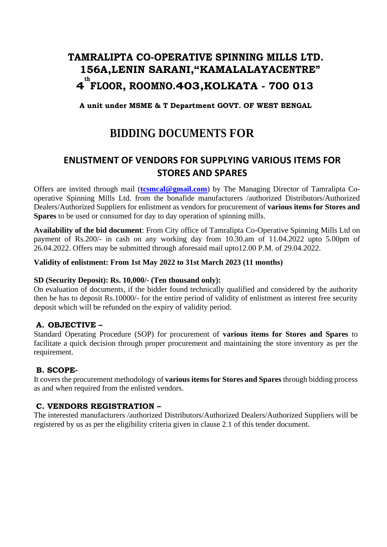# **TAMRALIPTA CO-OPERATIVE SPINNING MILLS LTD. 156A,LENIN SARANI,"KAMALALAYACENTRE" 4 th FLOOR, ROOMNO.403,KOLKATA - 700 013**

**A unit under MSME & T Department GOVT. OF WEST BENGAL**

# **BIDDING DOCUMENTS FOR**

## **ENLISTMENT OF VENDORS FOR SUPPLYING VARIOUS ITEMS FOR STORES AND SPARES**

Offers are invited through mail (**[tcsmcal@gmail.com](mailto:tcsmcal@gmail.com)**) by The Managing Director of Tamralipta Cooperative Spinning Mills Ltd. from the bonafide manufacturers /authorized Distributors/Authorized Dealers/Authorized Suppliers for enlistment as vendors for procurement of **various items for Stores and Spares** to be used or consumed for day to day operation of spinning mills.

**Availability of the bid document**: From City office of Tamralipta Co-Operative Spinning Mills Ltd on payment of Rs.200/- in cash on any working day from 10.30.am of 11.04.2022 upto 5.00pm of 26.04.2022. Offers may be submitted through aforesaid mail upto12.00 P.M. of 29.04.2022.

#### **Validity of enlistment: From 1st May 2022 to 31st March 2023 (11 months)**

#### **SD (Security Deposit): Rs. 10,000/- (Ten thousand only):**

On evaluation of documents, if the bidder found technically qualified and considered by the authority then he has to deposit Rs.10000/- for the entire period of validity of enlistment as interest free security deposit which will be refunded on the expiry of validity period.

#### **A. OBJECTIVE –**

Standard Operating Procedure (SOP) for procurement of **various items for Stores and Spares** to facilitate a quick decision through proper procurement and maintaining the store inventory as per the requirement.

#### **B. SCOPE-**

It covers the procurement methodology of **various items for Stores and Spares** through bidding process as and when required from the enlisted vendors.

#### **C. VENDORS REGISTRATION –**

The interested manufacturers /authorized Distributors/Authorized Dealers/Authorized Suppliers will be registered by us as per the eligibility criteria given in clause 2.1 of this tender document.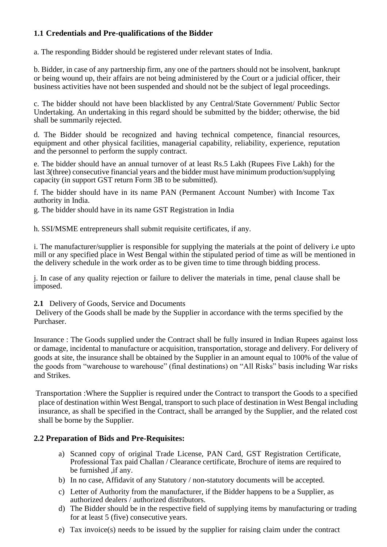## **1.1 Credentials and Pre-qualifications of the Bidder**

a. The responding Bidder should be registered under relevant states of India.

b. Bidder, in case of any partnership firm, any one of the partners should not be insolvent, bankrupt or being wound up, their affairs are not being administered by the Court or a judicial officer, their business activities have not been suspended and should not be the subject of legal proceedings.

c. The bidder should not have been blacklisted by any Central/State Government/ Public Sector Undertaking. An undertaking in this regard should be submitted by the bidder; otherwise, the bid shall be summarily rejected.

d. The Bidder should be recognized and having technical competence, financial resources, equipment and other physical facilities, managerial capability, reliability, experience, reputation and the personnel to perform the supply contract.

e. The bidder should have an annual turnover of at least Rs.5 Lakh (Rupees Five Lakh) for the last 3(three) consecutive financial years and the bidder must have minimum production/supplying capacity (in support GST return Form 3B to be submitted).

f. The bidder should have in its name PAN (Permanent Account Number) with Income Tax authority in India.

g. The bidder should have in its name GST Registration in India

h. SSI/MSME entrepreneurs shall submit requisite certificates, if any.

i. The manufacturer/supplier is responsible for supplying the materials at the point of delivery i.e upto mill or any specified place in West Bengal within the stipulated period of time as will be mentioned in the delivery schedule in the work order as to be given time to time through bidding process.

j. In case of any quality rejection or failure to deliver the materials in time, penal clause shall be imposed.

#### **2.1** Delivery of Goods, Service and Documents

Delivery of the Goods shall be made by the Supplier in accordance with the terms specified by the Purchaser.

Insurance : The Goods supplied under the Contract shall be fully insured in Indian Rupees against loss or damage, incidental to manufacture or acquisition, transportation, storage and delivery. For delivery of goods at site, the insurance shall be obtained by the Supplier in an amount equal to 100% of the value of the goods from "warehouse to warehouse" (final destinations) on "All Risks" basis including War risks and Strikes.

Transportation :Where the Supplier is required under the Contract to transport the Goods to a specified place of destination within West Bengal, transport to such place of destination in West Bengal including insurance, as shall be specified in the Contract, shall be arranged by the Supplier, and the related cost shall be borne by the Supplier.

#### **2.2 Preparation of Bids and Pre-Requisites:**

- a) Scanned copy of original Trade License, PAN Card, GST Registration Certificate, Professional Tax paid Challan / Clearance certificate, Brochure of items are required to be furnished ,if any.
- b) In no case, Affidavit of any Statutory / non-statutory documents will be accepted.
- c) Letter of Authority from the manufacturer, if the Bidder happens to be a Supplier, as authorized dealers / authorized distributors.
- d) The Bidder should be in the respective field of supplying items by manufacturing or trading for at least 5 (five) consecutive years.
- e) Tax invoice(s) needs to be issued by the supplier for raising claim under the contract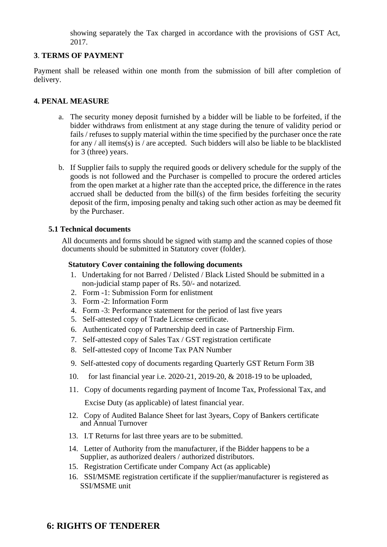showing separately the Tax charged in accordance with the provisions of GST Act, 2017.

#### **3**. **TERMS OF PAYMENT**

Payment shall be released within one month from the submission of bill after completion of delivery.

#### **4. PENAL MEASURE**

- a. The security money deposit furnished by a bidder will be liable to be forfeited, if the bidder withdraws from enlistment at any stage during the tenure of validity period or fails / refuses to supply material within the time specified by the purchaser once the rate for any / all items(s) is / are accepted. Such bidders will also be liable to be blacklisted for 3 (three) years.
- b. If Supplier fails to supply the required goods or delivery schedule for the supply of the goods is not followed and the Purchaser is compelled to procure the ordered articles from the open market at a higher rate than the accepted price, the difference in the rates accrued shall be deducted from the bill(s) of the firm besides forfeiting the security deposit of the firm, imposing penalty and taking such other action as may be deemed fit by the Purchaser.

#### **5.1 Technical documents**

All documents and forms should be signed with stamp and the scanned copies of those documents should be submitted in Statutory cover (folder).

#### **Statutory Cover containing the following documents**

- 1. Undertaking for not Barred / Delisted / Black Listed Should be submitted in a non-judicial stamp paper of Rs. 50/- and notarized.
- 2. Form -1: Submission Form for enlistment
- 3. Form -2: Information Form
- 4. Form -3: Performance statement for the period of last five years
- 5. Self-attested copy of Trade License certificate.
- 6. Authenticated copy of Partnership deed in case of Partnership Firm.
- 7. Self-attested copy of Sales Tax / GST registration certificate
- 8. Self-attested copy of Income Tax PAN Number
- 9. Self-attested copy of documents regarding Quarterly GST Return Form 3B
- 10. for last financial year i.e. 2020-21, 2019-20, & 2018-19 to be uploaded,
- 11. Copy of documents regarding payment of Income Tax, Professional Tax, and Excise Duty (as applicable) of latest financial year.
- 12. Copy of Audited Balance Sheet for last 3years, Copy of Bankers certificate and Annual Turnover
- 13. I.T Returns for last three years are to be submitted.
- 14. Letter of Authority from the manufacturer, if the Bidder happens to be a Supplier, as authorized dealers / authorized distributors.
- 15. Registration Certificate under Company Act (as applicable)
- 16. SSI/MSME registration certificate if the supplier/manufacturer is registered as SSI/MSME unit

### **6: RIGHTS OF TENDERER**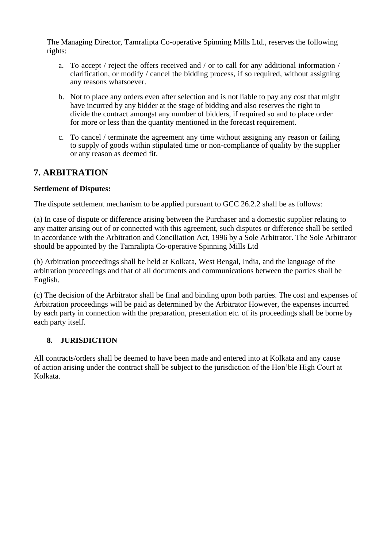The Managing Director, Tamralipta Co-operative Spinning Mills Ltd., reserves the following rights:

- a. To accept / reject the offers received and / or to call for any additional information / clarification, or modify / cancel the bidding process, if so required, without assigning any reasons whatsoever.
- b. Not to place any orders even after selection and is not liable to pay any cost that might have incurred by any bidder at the stage of bidding and also reserves the right to divide the contract amongst any number of bidders, if required so and to place order for more or less than the quantity mentioned in the forecast requirement.
- c. To cancel / terminate the agreement any time without assigning any reason or failing to supply of goods within stipulated time or non-compliance of quality by the supplier or any reason as deemed fit.

## **7. ARBITRATION**

#### **Settlement of Disputes:**

The dispute settlement mechanism to be applied pursuant to GCC 26.2.2 shall be as follows:

(a) In case of dispute or difference arising between the Purchaser and a domestic supplier relating to any matter arising out of or connected with this agreement, such disputes or difference shall be settled in accordance with the Arbitration and Conciliation Act, 1996 by a Sole Arbitrator. The Sole Arbitrator should be appointed by the Tamralipta Co-operative Spinning Mills Ltd

(b) Arbitration proceedings shall be held at Kolkata, West Bengal, India, and the language of the arbitration proceedings and that of all documents and communications between the parties shall be English.

(c) The decision of the Arbitrator shall be final and binding upon both parties. The cost and expenses of Arbitration proceedings will be paid as determined by the Arbitrator However, the expenses incurred by each party in connection with the preparation, presentation etc. of its proceedings shall be borne by each party itself.

### **8. JURISDICTION**

All contracts/orders shall be deemed to have been made and entered into at Kolkata and any cause of action arising under the contract shall be subject to the jurisdiction of the Hon'ble High Court at Kolkata.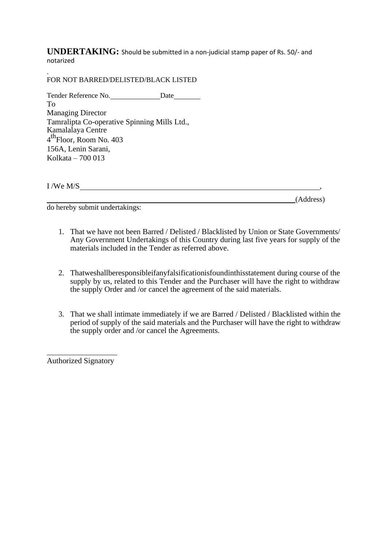**UNDERTAKING:** Should be submitted in a non-judicial stamp paper of Rs. 50/- and notarized

. FOR NOT BARRED/DELISTED/BLACK LISTED

Tender Reference No. Date To Managing Director Tamralipta Co-operative Spinning Mills Ltd., Kamalalaya Centre 4<sup>th</sup>Floor, Room No. 403 156A, Lenin Sarani, Kolkata – 700 013

I /We M/S ,

(Address)

do hereby submit undertakings:

- 1. That we have not been Barred / Delisted / Blacklisted by Union or State Governments/ Any Government Undertakings of this Country during last five years for supply of the materials included in the Tender as referred above.
- 2. Thatweshallberesponsibleifanyfalsificationisfoundinthisstatement during course of the supply by us, related to this Tender and the Purchaser will have the right to withdraw the supply Order and /or cancel the agreement of the said materials.
- 3. That we shall intimate immediately if we are Barred / Delisted / Blacklisted within the period of supply of the said materials and the Purchaser will have the right to withdraw the supply order and /or cancel the Agreements.

Authorized Signatory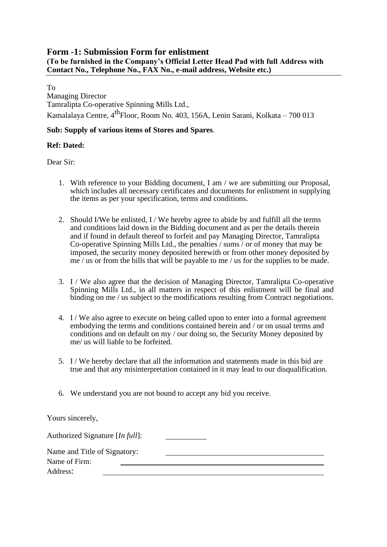#### **Form -1: Submission Form for enlistment (To be furnished in the Company's Official Letter Head Pad with full Address with Contact No., Telephone No., FAX No., e-mail address, Website etc.)**

To

Managing Director Tamralipta Co-operative Spinning Mills Ltd., Kamalalaya Centre, 4<sup>th</sup>Floor, Room No. 403, 156A, Lenin Sarani, Kolkata – 700 013

#### **Sub: Supply of various items of Stores and Spares**.

#### **Ref: Dated:**

Dear Sir:

- 1. With reference to your Bidding document, I am / we are submitting our Proposal, which includes all necessary certificates and documents for enlistment in supplying the items as per your specification, terms and conditions.
- 2. Should I/We be enlisted, I / We hereby agree to abide by and fulfill all the terms and conditions laid down in the Bidding document and as per the details therein and if found in default thereof to forfeit and pay Managing Director, Tamralipta Co-operative Spinning Mills Ltd., the penalties / sums / or of money that may be imposed, the security money deposited herewith or from other money deposited by me / us or from the bills that will be payable to me / us for the supplies to be made.
- 3. I / We also agree that the decision of Managing Director, Tamralipta Co-operative Spinning Mills Ltd., in all matters in respect of this enlistment will be final and binding on me / us subject to the modifications resulting from Contract negotiations.
- 4. I / We also agree to execute on being called upon to enter into a formal agreement embodying the terms and conditions contained herein and / or on usual terms and conditions and on default on my / our doing so, the Security Money deposited by me/ us will liable to be forfeited.
- 5. I / We hereby declare that all the information and statements made in this bid are true and that any misinterpretation contained in it may lead to our disqualification.
- 6. We understand you are not bound to accept any bid you receive.

Yours sincerely,

| Authorized Signature [In full]: |  |
|---------------------------------|--|
| Name and Title of Signatory:    |  |
| Name of Firm:                   |  |
| Address:                        |  |
|                                 |  |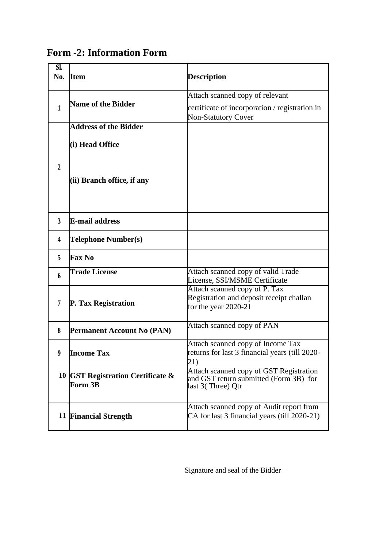|  |  | <b>Form -2: Information Form</b> |  |
|--|--|----------------------------------|--|
|--|--|----------------------------------|--|

| $\overline{\text{SL}}$<br>No. | <b>Item</b>                       | <b>Description</b>                                                                |
|-------------------------------|-----------------------------------|-----------------------------------------------------------------------------------|
|                               |                                   |                                                                                   |
|                               |                                   | Attach scanned copy of relevant                                                   |
| 1                             | <b>Name of the Bidder</b>         | certificate of incorporation / registration in                                    |
|                               |                                   | <b>Non-Statutory Cover</b>                                                        |
|                               | <b>Address of the Bidder</b>      |                                                                                   |
|                               |                                   |                                                                                   |
|                               | (i) Head Office                   |                                                                                   |
|                               |                                   |                                                                                   |
| $\overline{2}$                |                                   |                                                                                   |
|                               | (ii) Branch office, if any        |                                                                                   |
|                               |                                   |                                                                                   |
|                               |                                   |                                                                                   |
|                               |                                   |                                                                                   |
| $\overline{3}$                | <b>E-mail address</b>             |                                                                                   |
| 4                             | Telephone Number(s)               |                                                                                   |
| 5                             | <b>Fax No</b>                     |                                                                                   |
|                               | <b>Trade License</b>              | Attach scanned copy of valid Trade                                                |
| 6                             |                                   | License, SSI/MSME Certificate                                                     |
|                               |                                   | Attach scanned copy of P. Tax                                                     |
| 7                             | <b>P. Tax Registration</b>        | Registration and deposit receipt challan                                          |
|                               |                                   | for the year $2020-21$                                                            |
|                               |                                   | Attach scanned copy of PAN                                                        |
| 8                             | <b>Permanent Account No (PAN)</b> |                                                                                   |
|                               |                                   | Attach scanned copy of Income Tax                                                 |
| 9                             | <b>Income Tax</b>                 | returns for last 3 financial years (till 2020-                                    |
|                               |                                   | 21)                                                                               |
|                               | 10 GST Registration Certificate & | Attach scanned copy of GST Registration<br>and GST return submitted (Form 3B) for |
|                               | <b>Form 3B</b>                    | last 3(Three) Qtr                                                                 |
|                               |                                   |                                                                                   |
|                               |                                   | Attach scanned copy of Audit report from                                          |
|                               | 11 Financial Strength             | CA for last 3 financial years (till 2020-21)                                      |
|                               |                                   |                                                                                   |

Signature and seal of the Bidder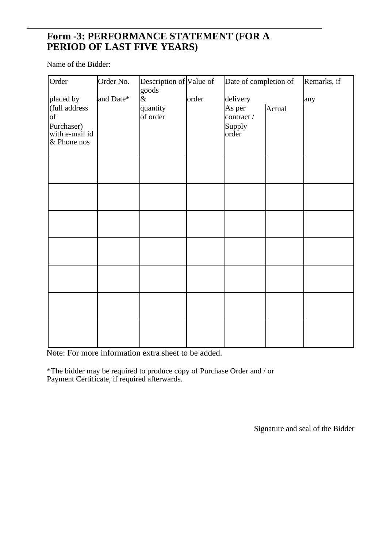## **Form -3: PERFORMANCE STATEMENT (FOR A PERIOD OF LAST FIVE YEARS)**

Name of the Bidder:

| Order                                                                                      | Order No. | Description of Value of<br>goods |       | Date of completion of                               |        | Remarks, if |
|--------------------------------------------------------------------------------------------|-----------|----------------------------------|-------|-----------------------------------------------------|--------|-------------|
| placed by<br>(full address<br>$\mathrm{of}$<br>Purchaser)<br>with e-mail id<br>& Phone nos | and Date* | $\alpha$<br>quantity<br>of order | order | delivery<br>As per<br>contract /<br>Supply<br>order | Actual | any         |
|                                                                                            |           |                                  |       |                                                     |        |             |
|                                                                                            |           |                                  |       |                                                     |        |             |
|                                                                                            |           |                                  |       |                                                     |        |             |
|                                                                                            |           |                                  |       |                                                     |        |             |
|                                                                                            |           |                                  |       |                                                     |        |             |
|                                                                                            |           |                                  |       |                                                     |        |             |
|                                                                                            |           |                                  |       |                                                     |        |             |

Note: For more information extra sheet to be added.

\*The bidder may be required to produce copy of Purchase Order and / or Payment Certificate, if required afterwards.

Signature and seal of the Bidder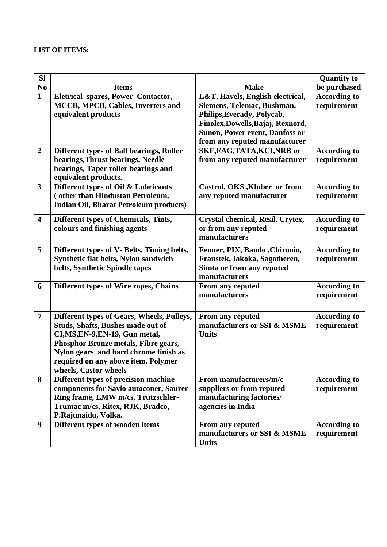#### **LIST OF ITEMS:**

| <b>SI</b>               |                                                                                                                                                                                                                                                                            |                                                                                                                                                                                                             | <b>Quantity to</b>                 |
|-------------------------|----------------------------------------------------------------------------------------------------------------------------------------------------------------------------------------------------------------------------------------------------------------------------|-------------------------------------------------------------------------------------------------------------------------------------------------------------------------------------------------------------|------------------------------------|
| N <sub>0</sub>          | <b>Items</b>                                                                                                                                                                                                                                                               | <b>Make</b>                                                                                                                                                                                                 | be purchased                       |
| $\mathbf{1}$            | Eletrical spares, Power Contactor,<br>MCCB, MPCB, Cables, Inverters and<br>equivalent products                                                                                                                                                                             | L&T, Havels, English electrical,<br>Siemens, Telemac, Bushman,<br>Philips, Everady, Polycab,<br>Finolex, Dowells, Bajaj, Rexnord,<br><b>Sunon, Power event, Danfoss or</b><br>from any reputed manufacturer | <b>According to</b><br>requirement |
| $\overline{2}$          | Different types of Ball bearings, Roller<br>bearings, Thrust bearings, Needle<br>bearings, Taper roller bearings and<br>equivalent products.                                                                                                                               | SKF, FAG, TATA, KCI, NRB or<br>from any reputed manufacturer                                                                                                                                                | <b>According to</b><br>requirement |
| $\mathbf{3}$            | Different types of Oil & Lubricants<br>(other than Hindustan Petroleum,<br><b>Indian Oil, Bharat Petroleum products)</b>                                                                                                                                                   | Castrol, OKS, Kluber or from<br>any reputed manufacturer                                                                                                                                                    | <b>According to</b><br>requirement |
| $\overline{\mathbf{4}}$ | Different types of Chemicals, Tints,<br>colours and finishing agents                                                                                                                                                                                                       | Crystal chemical, Resil, Crytex,<br>or from any reputed<br>manufacturers                                                                                                                                    | <b>According to</b><br>requirement |
| 5                       | Different types of V- Belts, Timing belts,<br>Synthetic flat belts, Nylon sandwich<br>belts, Synthetic Spindle tapes                                                                                                                                                       | Fenner, PIX, Bando , Chironio,<br>Franstek, Iakoka, Sagotheren,<br>Simta or from any reputed<br>manufacturers                                                                                               | <b>According to</b><br>requirement |
| 6                       | Different types of Wire ropes, Chains                                                                                                                                                                                                                                      | <b>From any reputed</b><br>manufacturers                                                                                                                                                                    | <b>According to</b><br>requirement |
| $\overline{7}$          | Different types of Gears, Wheels, Pulleys,<br><b>Studs, Shafts, Bushes made out of</b><br>CI, MS, EN-9, EN-19, Gun metal,<br>Phosphor Bronze metals, Fibre gears,<br>Nylon gears and hard chrome finish as<br>required on any above item. Polymer<br>wheels, Castor wheels | From any reputed<br>manufacturers or SSI & MSME<br><b>Units</b>                                                                                                                                             | <b>According to</b><br>requirement |
| 8                       | Different types of precision machine<br>components for Savio autoconer, Saurer<br>Ring frame, LMW m/cs, Trutzschler-<br>Trumac m/cs, Ritex, RJK, Bradco,<br>P.Rajunaidu, Volka.                                                                                            | From manufacturers/m/c<br>suppliers or from reputed<br>manufacturing factories/<br>agencies in India                                                                                                        | <b>According to</b><br>requirement |
| 9                       | Different types of wooden items                                                                                                                                                                                                                                            | From any reputed<br>manufacturers or SSI & MSME<br><b>Units</b>                                                                                                                                             | <b>According to</b><br>requirement |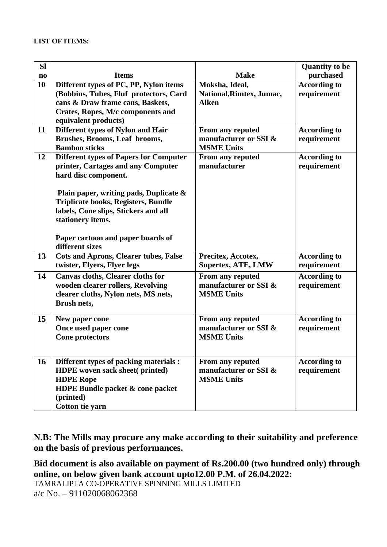| <b>SI</b>              |                                                                                     |                                  | <b>Quantity</b> to be              |
|------------------------|-------------------------------------------------------------------------------------|----------------------------------|------------------------------------|
| $\mathbf{n}\mathbf{o}$ | <b>Items</b>                                                                        | <b>Make</b>                      | purchased                          |
| 10                     | Different types of PC, PP, Nylon items                                              | Moksha, Ideal,                   | <b>According to</b>                |
|                        | (Bobbins, Tubes, Fluf protectors, Card                                              | National, Rimtex, Jumac,         | requirement                        |
|                        | cans & Draw frame cans, Baskets,                                                    | <b>Alken</b>                     |                                    |
|                        | Crates, Ropes, M/c components and                                                   |                                  |                                    |
|                        | equivalent products)                                                                |                                  |                                    |
| 11                     | Different types of Nylon and Hair                                                   | From any reputed                 | <b>According to</b>                |
|                        | Brushes, Brooms, Leaf brooms,<br><b>Bamboo sticks</b>                               | manufacturer or SSI &            | requirement                        |
| 12                     |                                                                                     | <b>MSME Units</b>                |                                    |
|                        | <b>Different types of Papers for Computer</b><br>printer, Cartages and any Computer | From any reputed<br>manufacturer | <b>According to</b><br>requirement |
|                        | hard disc component.                                                                |                                  |                                    |
|                        |                                                                                     |                                  |                                    |
|                        | Plain paper, writing pads, Duplicate &                                              |                                  |                                    |
|                        | <b>Triplicate books, Registers, Bundle</b>                                          |                                  |                                    |
|                        | labels, Cone slips, Stickers and all                                                |                                  |                                    |
|                        | stationery items.                                                                   |                                  |                                    |
|                        |                                                                                     |                                  |                                    |
|                        | Paper cartoon and paper boards of                                                   |                                  |                                    |
|                        | different sizes                                                                     |                                  |                                    |
| 13                     | <b>Cots and Aprons, Clearer tubes, False</b>                                        | Precitex, Accotex,               | <b>According to</b>                |
|                        | twister, Flyers, Flyer legs                                                         | <b>Supertex, ATE, LMW</b>        | requirement                        |
| 14                     | Canvas cloths, Clearer cloths for                                                   | From any reputed                 | <b>According to</b>                |
|                        | wooden clearer rollers, Revolving                                                   | manufacturer or SSI &            | requirement                        |
|                        | clearer cloths, Nylon nets, MS nets,                                                | <b>MSME Units</b>                |                                    |
|                        | <b>Brush nets,</b>                                                                  |                                  |                                    |
| 15                     | New paper cone                                                                      | From any reputed                 | <b>According to</b>                |
|                        | Once used paper cone                                                                | manufacturer or SSI &            | requirement                        |
|                        | <b>Cone protectors</b>                                                              | <b>MSME Units</b>                |                                    |
|                        |                                                                                     |                                  |                                    |
| <b>16</b>              | Different types of packing materials :                                              | From any reputed                 | <b>According to</b>                |
|                        | HDPE woven sack sheet(printed)                                                      | manufacturer or SSI &            | requirement                        |
|                        | <b>HDPE Rope</b>                                                                    | <b>MSME Units</b>                |                                    |
|                        | HDPE Bundle packet & cone packet                                                    |                                  |                                    |
|                        | (printed)                                                                           |                                  |                                    |
|                        | Cotton tie yarn                                                                     |                                  |                                    |

**N.B: The Mills may procure any make according to their suitability and preference on the basis of previous performances.**

**Bid document is also available on payment of Rs.200.00 (two hundred only) through online, on below given bank account upto12.00 P.M. of 26.04.2022:** TAMRALIPTA CO-OPERATIVE SPINNING MILLS LIMITED a/c No. – 911020068062368